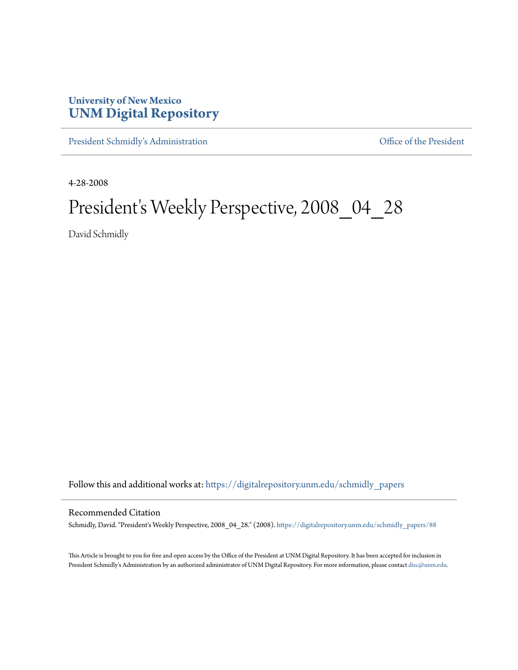## **University of New Mexico [UNM Digital Repository](https://digitalrepository.unm.edu?utm_source=digitalrepository.unm.edu%2Fschmidly_papers%2F88&utm_medium=PDF&utm_campaign=PDFCoverPages)**

[President Schmidly's Administration](https://digitalrepository.unm.edu/schmidly_papers?utm_source=digitalrepository.unm.edu%2Fschmidly_papers%2F88&utm_medium=PDF&utm_campaign=PDFCoverPages) [Office of the President](https://digitalrepository.unm.edu/ofc_president?utm_source=digitalrepository.unm.edu%2Fschmidly_papers%2F88&utm_medium=PDF&utm_campaign=PDFCoverPages)

4-28-2008

## President's Weekly Perspective, 2008\_04\_28

David Schmidly

Follow this and additional works at: [https://digitalrepository.unm.edu/schmidly\\_papers](https://digitalrepository.unm.edu/schmidly_papers?utm_source=digitalrepository.unm.edu%2Fschmidly_papers%2F88&utm_medium=PDF&utm_campaign=PDFCoverPages)

## Recommended Citation

Schmidly, David. "President's Weekly Perspective, 2008\_04\_28." (2008). [https://digitalrepository.unm.edu/schmidly\\_papers/88](https://digitalrepository.unm.edu/schmidly_papers/88?utm_source=digitalrepository.unm.edu%2Fschmidly_papers%2F88&utm_medium=PDF&utm_campaign=PDFCoverPages)

This Article is brought to you for free and open access by the Office of the President at UNM Digital Repository. It has been accepted for inclusion in President Schmidly's Administration by an authorized administrator of UNM Digital Repository. For more information, please contact [disc@unm.edu](mailto:disc@unm.edu).